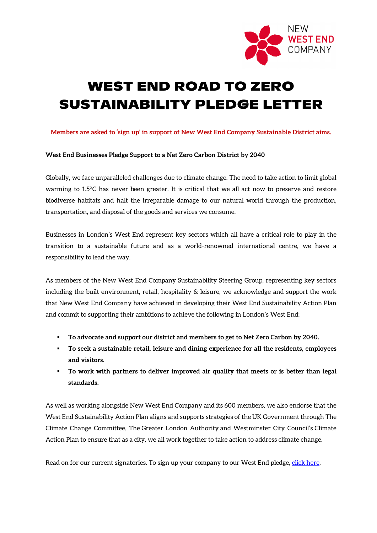

## **WEST END ROAD TO ZERO SUSTAINABILITY PLEDGE LETTER**

**Members are asked to 'sign up' in support of New West End Company Sustainable District aims.**

## **West End Businesses Pledge Support to a Net Zero Carbon District by 2040**

Globally, we face unparalleled challenges due to climate change. The need to take action to limit global warming to 1.5°C has never been greater. It is critical that we all act now to preserve and restore biodiverse habitats and halt the irreparable damage to our natural world through the production, transportation, and disposal of the goods and services we consume.

Businesses in London's West End represent key sectors which all have a critical role to play in the transition to a sustainable future and as a world-renowned international centre, we have a responsibility to lead the way.

As members of the New West End Company Sustainability Steering Group, representing key sectors including the built environment, retail, hospitality & leisure, we acknowledge and support the work that New West End Company have achieved in developing their West End Sustainability Action Plan and commit to supporting their ambitions to achieve the following in London's West End:

- **To advocate and support our district and members to get to Net Zero Carbon by 2040.**
- **To seek a sustainable retail, leisure and dining experience for all the residents, employees and visitors.**
- **To work with partners to deliver improved air quality that meets or is better than legal standards.**

As well as working alongside New West End Company and its 600 members, we also endorse that the West End Sustainability Action Plan aligns and supports strategies of the UK Government through [The](https://protect-eu.mimecast.com/s/kS0CCvYY8TPAxCwE2O9?domain=cnst-04.na1.hubspotlinks.com)  [Climate Change Committee,](https://protect-eu.mimecast.com/s/kS0CCvYY8TPAxCwE2O9?domain=cnst-04.na1.hubspotlinks.com) The [Greater London Authority](https://protect-eu.mimecast.com/s/I0c6CwEEKI4yKTlXmVO?domain=cnst-04.na1.hubspotlinks.com) and Westminster City Council's [Climate](https://protect-eu.mimecast.com/s/mOpkCxVV2IgxkCxFJvq?domain=cnst-04.na1.hubspotlinks.com)  [Action Plan](https://protect-eu.mimecast.com/s/mOpkCxVV2IgxkCxFJvq?domain=cnst-04.na1.hubspotlinks.com) to ensure that as a city, we all work together to take action to address climate change.

Read on for our current signatories. To sign up your company to our West End pledge, [click here.](mailto:info@newwestend.com?subject=Sign%20Up%20To%20The%20West%20End%20Sustainability%20Pledge)